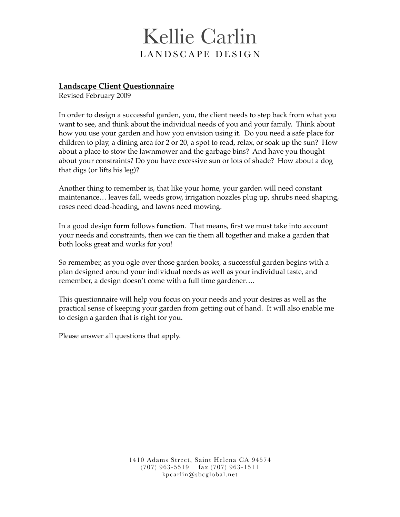# Kellie Carlin LANDSCAPE DESIGN

# **Landscape Client Questionnaire**

Revised February 2009

In order to design a successful garden, you, the client needs to step back from what you want to see, and think about the individual needs of you and your family. Think about how you use your garden and how you envision using it. Do you need a safe place for children to play, a dining area for 2 or 20, a spot to read, relax, or soak up the sun? How about a place to stow the lawnmower and the garbage bins? And have you thought about your constraints? Do you have excessive sun or lots of shade? How about a dog that digs (or lifts his leg)?

Another thing to remember is, that like your home, your garden will need constant maintenance… leaves fall, weeds grow, irrigation nozzles plug up, shrubs need shaping, roses need dead-heading, and lawns need mowing.

In a good design **form** follows **function**. That means, first we must take into account your needs and constraints, then we can tie them all together and make a garden that both looks great and works for you!

So remember, as you ogle over those garden books, a successful garden begins with a plan designed around your individual needs as well as your individual taste, and remember, a design doesn't come with a full time gardener….

This questionnaire will help you focus on your needs and your desires as well as the practical sense of keeping your garden from getting out of hand. It will also enable me to design a garden that is right for you.

Please answer all questions that apply.

1410 Adams Street, Saint Helena CA 94574 (707) 963-5519 fax (707) 963-1511 kpcarlin@sbcglobal.net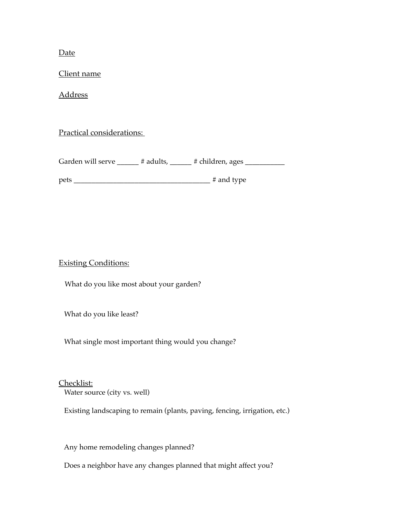Date

Client name

Address

Practical considerations:

Garden will serve \_\_\_\_\_\_ # adults, \_\_\_\_\_\_ # children, ages \_\_\_\_\_\_\_\_\_\_\_\_\_\_\_\_\_\_\_\_\_

pets \_\_\_\_\_\_\_\_\_\_\_\_\_\_\_\_\_\_\_\_\_\_\_\_\_\_\_\_\_\_\_\_\_\_\_\_\_\_ # and type

Existing Conditions:

What do you like most about your garden?

What do you like least?

What single most important thing would you change?

Checklist:

Water source (city vs. well)

Existing landscaping to remain (plants, paving, fencing, irrigation, etc.)

Any home remodeling changes planned?

Does a neighbor have any changes planned that might affect you?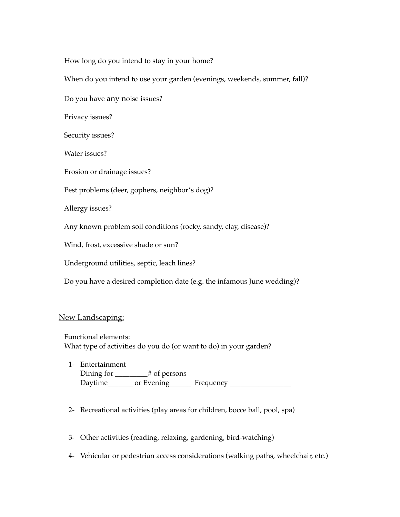How long do you intend to stay in your home?

When do you intend to use your garden (evenings, weekends, summer, fall)?

Do you have any noise issues?

Privacy issues?

Security issues?

Water issues?

Erosion or drainage issues?

Pest problems (deer, gophers, neighbor's dog)?

Allergy issues?

Any known problem soil conditions (rocky, sandy, clay, disease)?

Wind, frost, excessive shade or sun?

Underground utilities, septic, leach lines?

Do you have a desired completion date (e.g. the infamous June wedding)?

### New Landscaping:

 Functional elements: What type of activities do you do (or want to do) in your garden?

- 1- Entertainment Dining for \_\_\_\_\_\_\_\_\_# of persons Daytime\_\_\_\_\_\_\_ or Evening\_\_\_\_\_\_ Frequency \_\_\_\_\_\_\_\_\_\_\_\_\_\_\_\_\_
- 2- Recreational activities (play areas for children, bocce ball, pool, spa)
- 3- Other activities (reading, relaxing, gardening, bird-watching)
- 4- Vehicular or pedestrian access considerations (walking paths, wheelchair, etc.)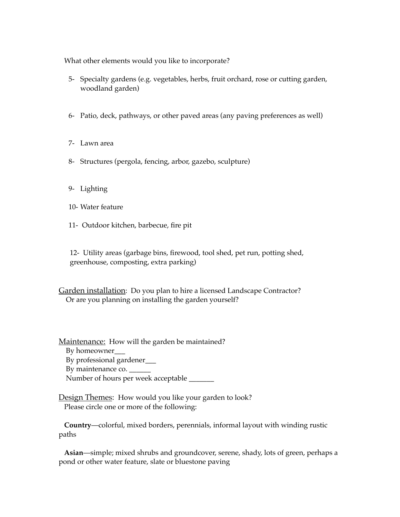What other elements would you like to incorporate?

- 5- Specialty gardens (e.g. vegetables, herbs, fruit orchard, rose or cutting garden, woodland garden)
- 6- Patio, deck, pathways, or other paved areas (any paving preferences as well)
- 7- Lawn area
- 8- Structures (pergola, fencing, arbor, gazebo, sculpture)
- 9- Lighting
- 10- Water feature
- 11- Outdoor kitchen, barbecue, fire pit

12- Utility areas (garbage bins, firewood, tool shed, pet run, potting shed, greenhouse, composting, extra parking)

Garden installation: Do you plan to hire a licensed Landscape Contractor? Or are you planning on installing the garden yourself?

Maintenance: How will the garden be maintained? By homeowner\_\_\_ By professional gardener\_\_\_ By maintenance co. \_ Number of hours per week acceptable

Design Themes: How would you like your garden to look? Please circle one or more of the following:

 **Country**—colorful, mixed borders, perennials, informal layout with winding rustic paths

 **Asian**—simple; mixed shrubs and groundcover, serene, shady, lots of green, perhaps a pond or other water feature, slate or bluestone paving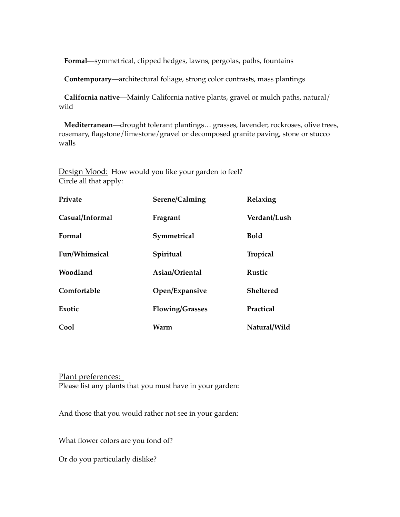**Formal**—symmetrical, clipped hedges, lawns, pergolas, paths, fountains

 **Contemporary**—architectural foliage, strong color contrasts, mass plantings

 **California native**—Mainly California native plants, gravel or mulch paths, natural/ wild

 **Mediterranean**—drought tolerant plantings… grasses, lavender, rockroses, olive trees, rosemary, flagstone/limestone/gravel or decomposed granite paving, stone or stucco walls

Design Mood: How would you like your garden to feel? Circle all that apply:

| Private         | Serene/Calming         | Relaxing        |
|-----------------|------------------------|-----------------|
| Casual/Informal | Fragrant               | Verdant/Lush    |
| Formal          | Symmetrical            | <b>Bold</b>     |
| Fun/Whimsical   | Spiritual              | <b>Tropical</b> |
| Woodland        | Asian/Oriental         | <b>Rustic</b>   |
| Comfortable     | Open/Expansive         | Sheltered       |
| Exotic          | <b>Flowing/Grasses</b> | Practical       |
| Cool            | Warm                   | Natural/Wild    |

Plant preferences: Please list any plants that you must have in your garden:

And those that you would rather not see in your garden:

What flower colors are you fond of?

Or do you particularly dislike?